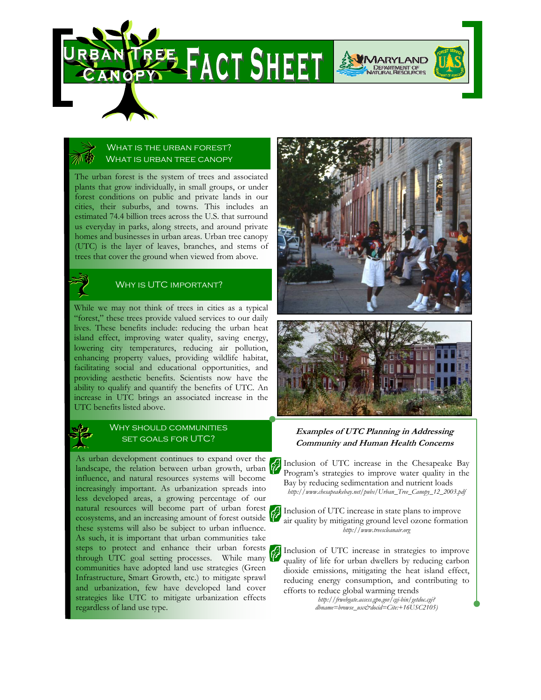

# WHAT IS THE URBAN FOREST? WHAT IS URBAN TREE CANOPY

The urban forest is the system of trees and associated plants that grow individually, in small groups, or under forest conditions on public and private lands in our cities, their suburbs, and towns. This includes an estimated 74.4 billion trees across the U.S. that surround us everyday in parks, along streets, and around private homes and businesses in urban areas. Urban tree canopy (UTC) is the layer of leaves, branches, and stems of trees that cover the ground when viewed from above.



While we may not think of trees in cities as a typical "forest," these trees provide valued services to our daily lives. These benefits include: reducing the urban heat island effect, improving water quality, saving energy, lowering city temperatures, reducing air pollution, enhancing property values, providing wildlife habitat, facilitating social and educational opportunities, and providing aesthetic benefits. Scientists now have the ability to qualify and quantify the benefits of UTC. An increase in UTC brings an associated increase in the UTC benefits listed above.



## WHY SHOULD COMMUNITIES set goals for UTC?

As urban development continues to expand over the landscape, the relation between urban growth, urban  $\hat{V}$ influence, and natural resources systems will become increasingly important. As urbanization spreads into less developed areas, a growing percentage of our natural resources will become part of urban forest ecosystems, and an increasing amount of forest outside these systems will also be subject to urban influence. As such, it is important that urban communities take steps to protect and enhance their urban forests through UTC goal setting processes. While many communities have adopted land use strategies (Green Infrastructure, Smart Growth, etc.) to mitigate sprawl and urbanization, few have developed land cover strategies like UTC to mitigate urbanization effects regardless of land use type.





## **Examples of UTC Planning in Addressing Community and Human Health Concerns**

Inclusion of UTC increase in the Chesapeake Bay Program's strategies to improve water quality in the Bay by reducing sedimentation and nutrient loads *http://www.chesapeakebay.net/pubs/Urban\_Tree\_Canopy\_12\_2003.pdf* 

Inclusion of UTC increase in state plans to improve air quality by mitigating ground level ozone formation *http://www.treescleanair.org* 

Inclusion of UTC increase in strategies to improve quality of life for urban dwellers by reducing carbon dioxide emissions, mitigating the heat island effect, reducing energy consumption, and contributing to efforts to reduce global warming trends

> *http://frwebgate.access.gpo.gov/cgi-bin/getdoc.cgi? dbname=browse\_usc&docid=Cite:+16USC2105)*